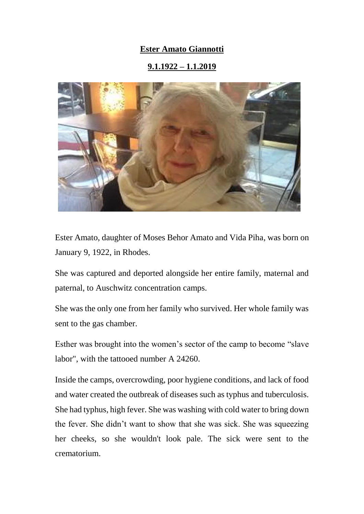## **Ester Amato Giannotti**

## **9.1.1922 – 1.1.2019**



Ester Amato, daughter of Moses Behor Amato and Vida Piha, was born on January 9, 1922, in Rhodes.

She was captured and deported alongside her entire family, maternal and paternal, to Auschwitz concentration camps.

She was the only one from her family who survived. Her whole family was sent to the gas chamber.

Esther was brought into the women's sector of the camp to become "slave labor", with the tattooed number A 24260.

Inside the camps, overcrowding, poor hygiene conditions, and lack of food and water created the outbreak of diseases such as typhus and tuberculosis. She had typhus, high fever. She was washing with cold water to bring down the fever. She didn't want to show that she was sick. She was squeezing her cheeks, so she wouldn't look pale. The sick were sent to the crematorium.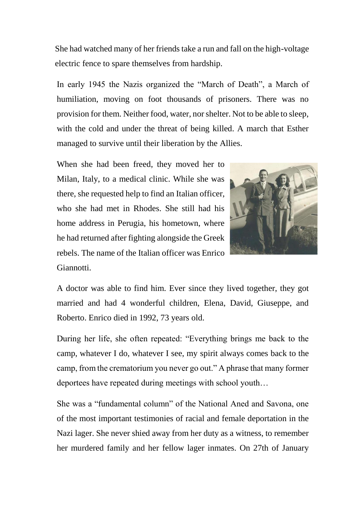She had watched many of her friends take a run and fall on the high-voltage electric fence to spare themselves from hardship.

In early 1945 the Nazis organized the "March of Death", a March of humiliation, moving on foot thousands of prisoners. There was no provision for them. Neither food, water, nor shelter. Not to be able to sleep, with the cold and under the threat of being killed. A march that Esther managed to survive until their liberation by the Allies.

When she had been freed, they moved her to Milan, Italy, to a medical clinic. While she was there, she requested help to find an Italian officer, who she had met in Rhodes. She still had his home address in Perugia, his hometown, where he had returned after fighting alongside the Greek rebels. The name of the Italian officer was Enrico Giannotti.



A doctor was able to find him. Ever since they lived together, they got married and had 4 wonderful children, Elena, David, Giuseppe, and Roberto. Enrico died in 1992, 73 years old.

During her life, she often repeated: "Everything brings me back to the camp, whatever I do, whatever I see, my spirit always comes back to the camp, from the crematorium you never go out." A phrase that many former deportees have repeated during meetings with school youth…

She was a "fundamental column" of the National Aned and Savona, one of the most important testimonies of racial and female deportation in the Nazi lager. She never shied away from her duty as a witness, to remember her murdered family and her fellow lager inmates. On 27th of January